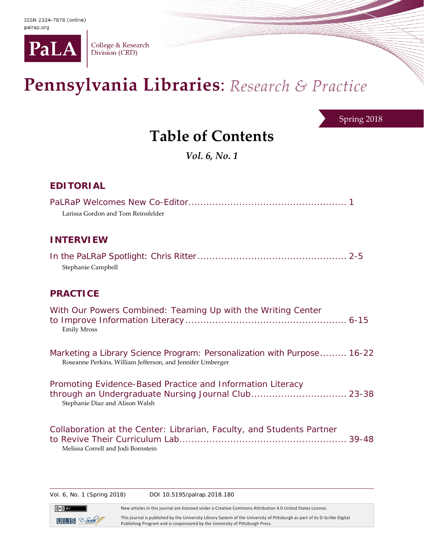

College & Research<br>Division (CRD)

# Pennsylvania Libraries: Research & Practice

Spring 2018

## **Table of Contents**

*Vol. 6, No. 1*

### **EDITORIAL**

| Larissa Gordon and Tom Reinsfelder                                                                                                                   |  |
|------------------------------------------------------------------------------------------------------------------------------------------------------|--|
| <b>INTERVIEW</b>                                                                                                                                     |  |
| Stephanie Campbell                                                                                                                                   |  |
| <b>PRACTICE</b>                                                                                                                                      |  |
| With Our Powers Combined: Teaming Up with the Writing Center<br><b>Emily Mross</b>                                                                   |  |
| Marketing a Library Science Program: Personalization with Purpose 16-22<br>Roseanne Perkins, William Jefferson, and Jennifer Umberger                |  |
| Promoting Evidence-Based Practice and Information Literacy<br>through an Undergraduate Nursing Journal Club 23-38<br>Stephanie Diaz and Alison Walsh |  |
| Collaboration at the Center: Librarian, Faculty, and Students Partner<br>Melissa Correll and Jodi Bornstein                                          |  |

Vol. 6, No. 1 (Spring 2018) DOI 10.5195/palrap.2018.180

New articles in this journal are licensed under a Creative Commons Attribution 4.0 United States License.



This journal is published by the University Library System of the University of Pittsburgh as part of its D-Scribe Digital Publishing Program and is cosponsored by the University of Pittsburgh Press.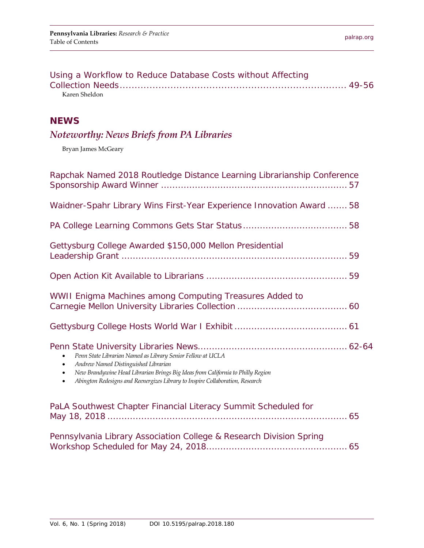| Using a Workflow to Reduce Database Costs without Affecting |  |
|-------------------------------------------------------------|--|
|                                                             |  |
| Karen Sheldon                                               |  |

#### **NEWS**

## *Noteworthy: News Briefs from PA Libraries*

Bryan James McGeary

| Rapchak Named 2018 Routledge Distance Learning Librarianship Conference                                                                                                                                                                                                                                                     |
|-----------------------------------------------------------------------------------------------------------------------------------------------------------------------------------------------------------------------------------------------------------------------------------------------------------------------------|
| Waidner-Spahr Library Wins First-Year Experience Innovation Award  58                                                                                                                                                                                                                                                       |
|                                                                                                                                                                                                                                                                                                                             |
| Gettysburg College Awarded \$150,000 Mellon Presidential                                                                                                                                                                                                                                                                    |
|                                                                                                                                                                                                                                                                                                                             |
| WWII Enigma Machines among Computing Treasures Added to                                                                                                                                                                                                                                                                     |
|                                                                                                                                                                                                                                                                                                                             |
| Penn State Librarian Named as Library Senior Fellow at UCLA<br>$\bullet$<br>Andrew Named Distinguished Librarian<br>$\bullet$<br>New Brandywine Head Librarian Brings Big Ideas from California to Philly Region<br>$\bullet$<br>Abington Redesigns and Reenergizes Library to Inspire Collaboration, Research<br>$\bullet$ |
| PaLA Southwest Chapter Financial Literacy Summit Scheduled for                                                                                                                                                                                                                                                              |
| Pennsylvania Library Association College & Research Division Spring                                                                                                                                                                                                                                                         |